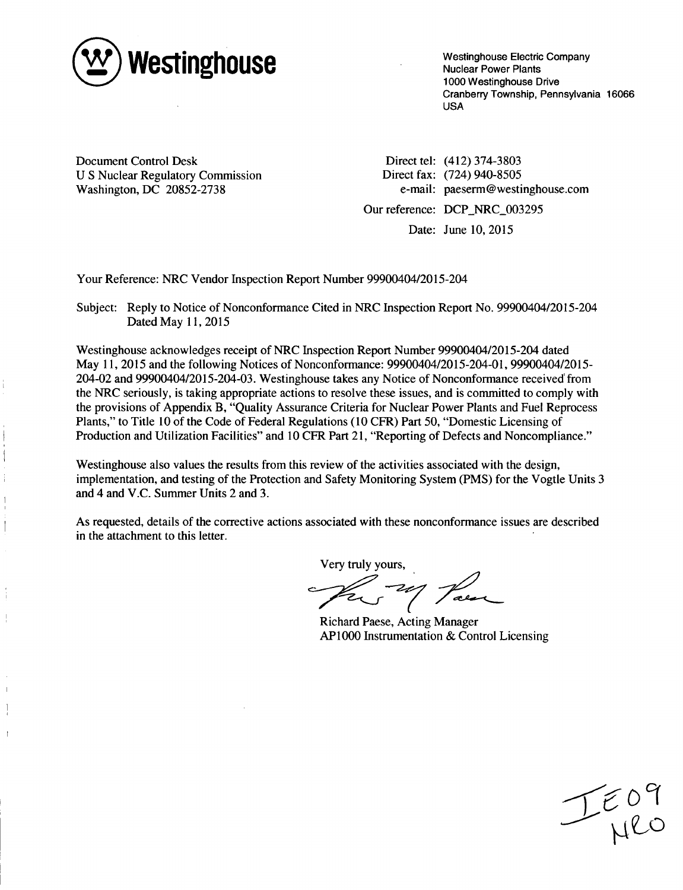

Westinghouse Electric Company Nuclear Power Plants 1000 Westinghouse Drive Cranberry Township, Pennsylvania 16066 USA

Document Control Desk U S Nuclear Regulatory Commission Washington, DC 20852-2738

Direct tel: (412) 374-3803 Direct fax: (724) 940-8505 e-mail: paeserm@westinghouse.com Our reference: DCP NRC 003295

Date: June 10, 2015

Your Reference: NRC Vendor Inspection Report Number 99900404/2015-204

Subject: Reply to Notice of Nonconformance Cited in NRC Inspection Report No. 99900404/2015-204 Dated May **11,** 2015

Westinghouse acknowledges receipt of NRC Inspection Report Number 99900404/2015-204 dated May 11, 2015 and the following Notices of Nonconformance: 99900404/2015-204-01, 99900404/2015- 204-02 and 99900404/2015-204-03. Westinghouse takes any Notice of Nonconformance received' from the NRC seriously, is taking appropriate actions to resolve these issues, and is committed to comply with the provisions of Appendix B, "Quality Assurance Criteria for Nuclear Power Plants and Fuel Reprocess Plants," to Title 10 of the Code of Federal Regulations (10 CFR) Part 50, "Domestic Licensing of Production and Utilization Facilities" and 10 CFR Part 21, "Reporting of Defects and Noncompliance."

Westinghouse also values the results from this review of the activities associated with the design, implementation, and testing of the Protection and Safety Monitoring System (PMS) for the Vogtle Units 3 and 4 and V.C. Summer Units 2 and 3.

As requested, details of the corrective actions associated with these nonconformance issues are described in the attachment to this letter.

Very truly yours,

The 24 Para

Richard Paese, Acting Manager AP1000 Instrumentation & Control Licensing

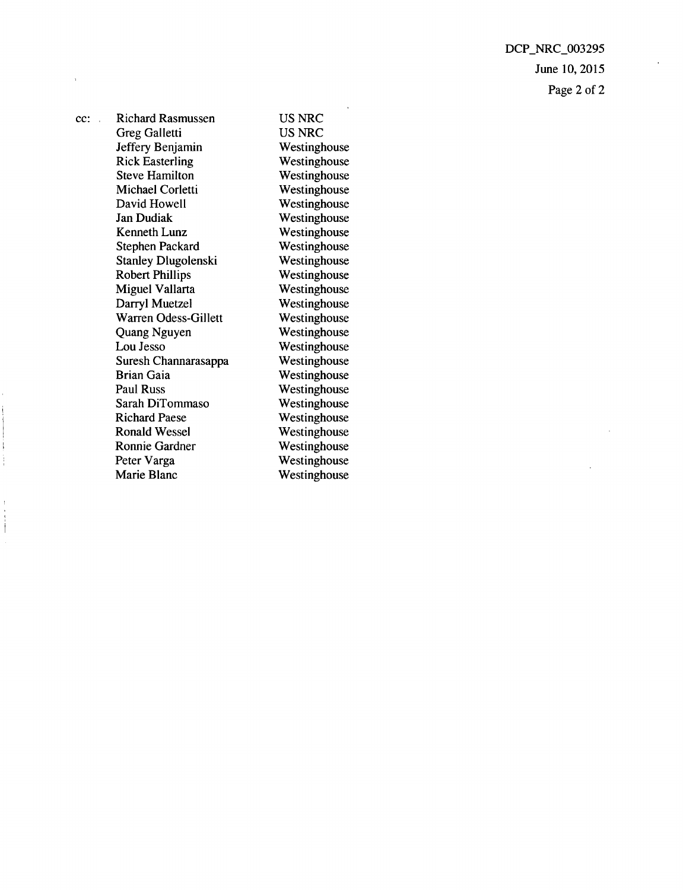DCP\_NRC\_003295 June 10, 2015 Page 2 of 2

cc: Richard Rasmussen Greg Galletti Jeffery Benjamin Rick Easterling Steve Hamilton Michael Corletti David Howell Jan Dudiak Kenneth Lunz Stephen Packard Stanley Dlugolenski Robert Phillips Miguel Vallarta Darryl Muetzel Warren Odess-Gillett Quang Nguyen Lou Jesso Suresh Channarasappa Brian Gaia Paul Russ Sarah DiTommaso Richard Paese Ronald Wessel Ronnie Gardner Peter Varga Marie Blanc

US NRC US NRC Westinghouse Westinghouse Westinghouse Westinghouse Westinghouse Westinghouse Westinghouse Westinghouse Westinghouse Westinghouse Westinghouse Westinghouse Westinghouse Westinghouse Westinghouse Westinghouse Westinghouse Westinghouse Westinghouse Westinghouse Westinghouse Westinghouse Westinghouse Westinghouse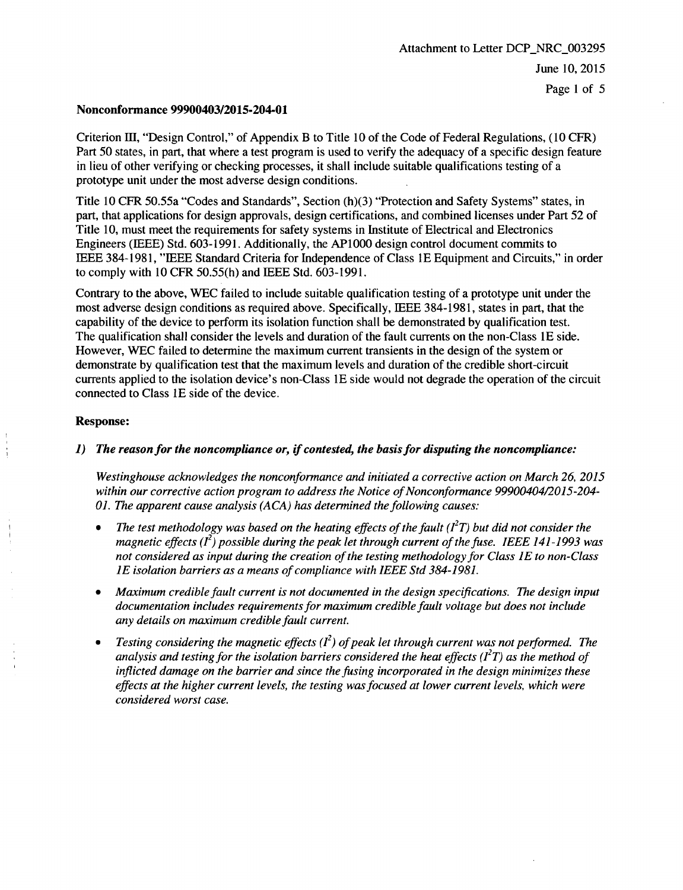### Nonconformance 99900403/2015-204-01

Criterion 1Il, "Design Control," of Appendix B to Title 10 of the Code of Federal Regulations, (10 CFR) Part 50 states, in part, that where a test program is used to verify the adequacy of a specific design feature in lieu of other verifying or checking processes, it shall include suitable qualifications testing of a prototype unit under the most adverse design conditions.

Title 10 CFR 50.55a "Codes and Standards", Section (h)(3) "Protection and Safety Systems" states, in part, that applications for design approvals, design certifications, and combined licenses under Part 52 of Title 10, must meet the requirements for safety systems in Institute of Electrical and Electronics Engineers (IEEE) Std. 603-1991. Additionally, the AP1000 design control document commits to IEEE 384-1981, "IEEE Standard Criteria for Independence of Class 1E Equipment and Circuits," in order to comply with 10 CFR 50.55(h) and IEEE Std. 603-1991.

Contrary to the above, WEC failed to include suitable qualification testing of a prototype unit under the most adverse design conditions as required above. Specifically, IEEE 384-1981, states in part, that the capability of the device to perform its isolation function shall be demonstrated by qualification test. The qualification shall consider the levels and duration of the fault currents on the non-Class **IE** side. However, WEC failed to determine the maximum current transients in the design of the system or demonstrate by qualification test that the maximum levels and duration of the credible short-circuit currents applied to the isolation device's non-Class 1E side would not degrade the operation of the circuit connected to Class 1E side of the device.

### Response:

# 1) *The reason for the noncompliance or, if contested, the basis for disputing the noncompliance:*

*Westinghouse acknowledges the nonconformance and initiated a corrective action on March 26, 2015 within our corrective action program to address the Notice of Nonconformance 99900404/2015-204- 01. The apparent cause analysis (ACA) has determined the following causes:*

- *\* The test methodology was based on the heating effects of the fault (12T) but did not consider the magnetic effects (f2) possible during the peak let through current of the fuse. IEEE 141-1993 was not considered as input during the creation of the testing methodology for Class 1E to non-Class 1E isolation barriers as a means of compliance with IEEE Std 384-1981.*
- *\* Maximum credible fault current is not documented in the design specifications. The design input documentation includes requirements for maximum credible fault voltage but does not include any details on maximum credible fault current.*
- **"** *Testing considering the magnetic effects (f2) of peak let through current was not performed. The analysis and testing for the isolation barriers considered the heat effects (* $I<sup>2</sup>T$ *) as the method of inflicted damage on the barrier and since the fusing incorporated in the design minimizes these effects at the higher current levels, the testing was focused at lower current levels, which were considered worst case.*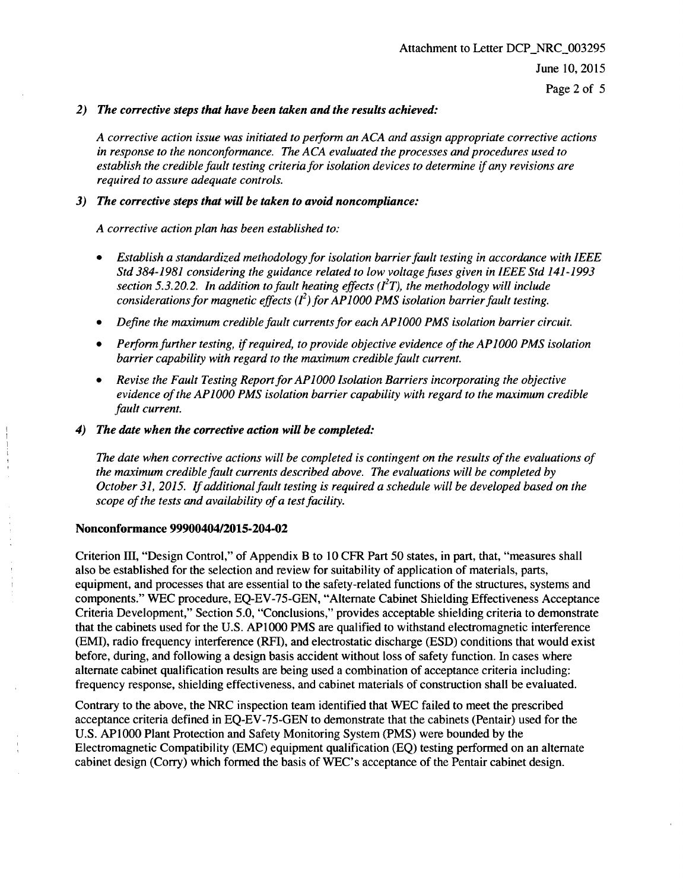## *2) The corrective steps that have been taken and the results achieved:*

*A corrective action issue was initiated to perform an ACA and assign appropriate corrective actions in response to the nonconformance. The ACA evaluated the processes and procedures used to establish the credible fault testing criteria for isolation devices to determine if any revisions are required to assure adequate controls.*

## *3) The corrective steps that will be taken to avoid noncompliance:*

*A corrective action plan has been established to:*

- *\* Establish a standardized methodology for isolation barrier fault testing in accordance with IEEE Std 384-1981 considering the guidance related to low voltage fuses given in IEEE Std 141-1993 section 5.3.20.2. In addition to fault heating effects (* $I<sup>2</sup>T$ *), the methodology will include considerations for magnetic effects (* $I^2$ *) for AP1000 PMS isolation barrier fault testing.*
- **"** *Define the maximum credible fault currents for each AP1O00 PMS isolation barrier circuit.*
- **"** *Performfurther testing, if required, to provide objective evidence of the APIOO PMS isolation barrier capability with regard to the maximum credible fault current.*
- Revise the Fault Testing Report for AP1000 Isolation Barriers incorporating the objective *evidence of the APIO00 PMS isolation barrier capability with regard to the maximum credible fault current.*

## *4) The date when the corrective action will be completed:*

*The date when corrective actions will be completed is contingent on the results of the evaluations of the maximum credible fault currents described above. The evaluations will be completed by October 31, 2015. If additional fault testing is required a schedule will be developed based on the scope of the tests and availability of a test facility.*

### Nonconformance 9990040412015-204-02

Criterion III, "Design Control," of Appendix B to 10 CFR Part 50 states, in part, that, "measures shall also be established for the selection and review for suitability of application of materials, parts, equipment, and processes that are essential to the safety-related functions of the structures, systems and components." WEC procedure, EQ-EV-75-GEN, "Alternate Cabinet Shielding Effectiveness Acceptance Criteria Development," Section 5.0, "Conclusions," provides acceptable shielding criteria to demonstrate that the cabinets used for the U.S. AP1000 PMS are qualified to withstand electromagnetic interference (EMI), radio frequency interference (RFI), and electrostatic discharge (ESD) conditions that would exist before, during, and following a design basis accident without loss of safety function. In cases where alternate cabinet qualification results are being used a combination of acceptance criteria including: frequency response, shielding effectiveness, and cabinet materials of construction shall be evaluated.

Contrary to the above, the NRC inspection team identified that WEC failed to meet the prescribed acceptance criteria defined in EQ-EV-75-GEN to demonstrate that the cabinets (Pentair) used for the U.S. AP1000 Plant Protection and Safety Monitoring System (PMS) were bounded by the Electromagnetic Compatibility (EMC) equipment qualification (EQ) testing performed on an alternate cabinet design (Corry) which formed the basis of WEC's acceptance of the Pentair cabinet design.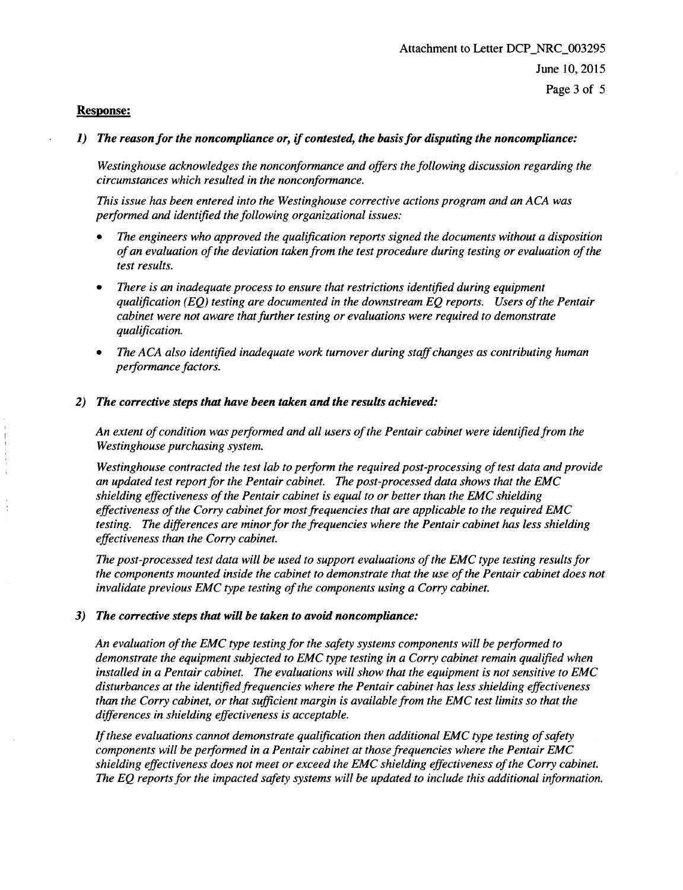### Response:

### **1)** *The reason for the noncompliance or, if contested, the basis for disputing the noncompliance:*

*Westinghouse acknowledges the nonconformance and offers the following discussion regarding the circumstances which resulted in the nonconformance.*

*This issue has been entered into the Westinghouse corrective actions program and an ACA was performed and identified the following organizational issues:*

- **"** *The engineers who approved the qualification reports signed the documents without a disposition of an evaluation of the deviation taken from the test procedure during testing or evaluation of the test results.*
- *\* There is an inadequate process to ensure that restrictions identified during equipment qualification (EQ) testing are documented in the downstream EQ reports. Users of the Pentair cabinet were not aware that further testing or evaluations were required to demonstrate qualification.*
- **"** *The ACA also identified inadequate work turnover during staff changes as contributing human performance factors.*

#### *2) The corrective steps that have been taken and the results achieved:*

*An extent of condition was performed and all users of the Pentair cabinet were identified from the Westinghouse purchasing system.*

*Westinghouse contracted the test lab to perform the required post-processing of test data and provide an updated test report for the Pentair cabinet. The post-processed data shows that the EMC shielding effectiveness of the Pentair cabinet is equal to or better than the EMC shielding effectiveness of the Corry cabinet for most frequencies that are applicable to the required EMC testing. The differences are minor for the frequencies where the Pentair cabinet has less shielding effectiveness than the Corry cabinet.*

*The post-processed test data will be used to support evaluations of the EMC type testing results for the components mounted inside the cabinet to demonstrate that the use of the Pentair cabinet does not invalidate previous EMC type testing of the components using a Corry cabinet.*

#### *3) The corrective steps that will be taken to avoid noncompliance:*

*An evaluation of the EMC type testing for the safety systems components will be performed to demonstrate the equipment subjected to EMC type testing in a Corry cabinet remain qualified when installed in a Pentair cabinet. The evaluations will show that the equipment is not sensitive to EMC disturbances at the identified frequencies where the Pentair cabinet has less shielding effectiveness than the Corry cabinet, or that sufficient margin is available from the EMC test limits so that the differences in shielding effectiveness is acceptable.*

*If these evaluations cannot demonstrate qualification then additional EMC type testing of safety components will be performed in a Pentair cabinet at those frequencies where the Pentair EMC shielding effectiveness does not meet or exceed the EMC shielding effectiveness of the Corry cabinet. The EQ reports for the impacted safety systems will be updated to include this additional information.*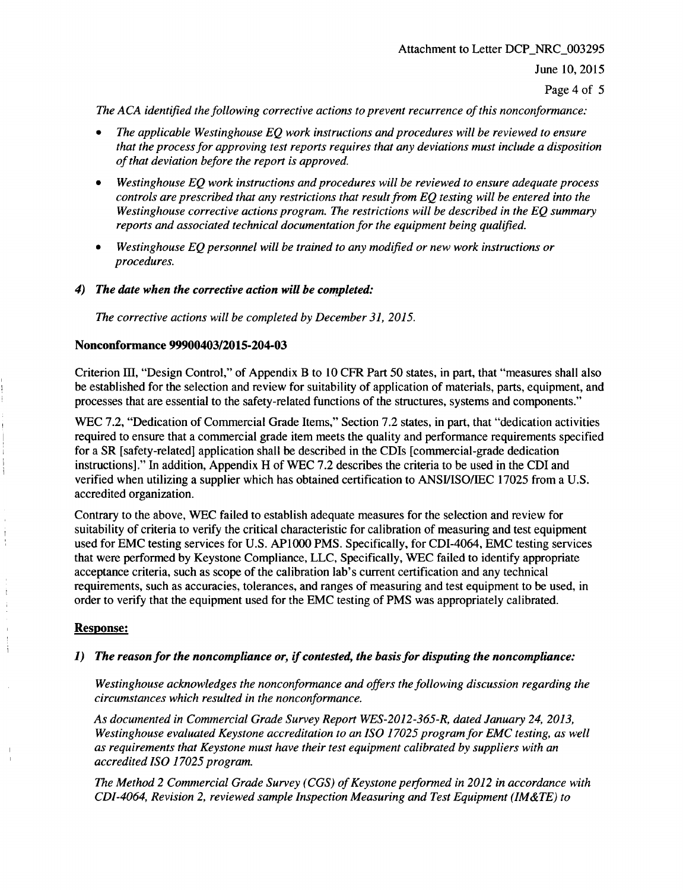Page 4 of 5

*The ACA identified the following corrective actions to prevent recurrence of this nonconformance:*

- *\* The applicable Westinghouse EQ work instructions and procedures will be reviewed to ensure that the process for approving test reports requires that any deviations must include a disposition of that deviation before the report is approved.*
- *\* Westinghouse EQ work instructions and procedures will be reviewed to ensure adequate process controls are prescribed that any restrictions that result from EQ testing will be entered into the Westinghouse corrective actions program. The restrictions will be described in the EQ summary reports and associated technical documentation for the equipment being qualified.*
- *\* Westinghouse EQ personnel will be trained to any modified or new work instructions or procedures.*
- 4) *The date when the corrective action will be completed:*

*The corrective actions will be completed by December 31, 2015.*

## Nonconformance 99900403/2015-204-03

Criterion III, "Design Control," of Appendix B to 10 CFR Part 50 states, in part, that "measures shall also be established for the selection and review for suitability of application of materials, parts, equipment, and processes that are essential to the safety-related functions of the structures, systems and components."

WEC 7.2, "Dedication of Commercial Grade Items," Section 7.2 states, in part, that "dedication activities required to ensure that a commercial grade item meets the quality and performance requirements specified for a SR [safety-related] application shall be described in the CDIs [commercial-grade dedication instructions]." In addition, Appendix H of WEC 7.2 describes the criteria to be used in the CDI and verified when utilizing a supplier which has obtained certification to ANSI/ISO/IEC 17025 from a U.S. accredited organization.

Contrary to the above, WEC failed to establish adequate measures for the selection and review for suitability of criteria to verify the critical characteristic for calibration of measuring and test equipment used for EMC testing services for U.S. AP1000 PMS. Specifically, for CDI-4064, EMC testing services that were performed by Keystone Compliance, LLC, Specifically, WEC failed to identify appropriate acceptance criteria, such as scope of the calibration lab's current certification and any technical requirements, such as accuracies, tolerances, and ranges of measuring and test equipment to be used, in order to verify that the equipment used for the EMC testing of PMS was appropriately calibrated.

# Response:

j

# 1) *The reason for the noncompliance or, if contested, the basis for disputing the noncompliance:*

*Westinghouse acknowledges the nonconformance and offers the following discussion regarding the circumstances which resulted in the nonconformance.*

*As documented in Commercial Grade Survey Report WES-2012-365-R, dated January 24, 2013, Westinghouse evaluated Keystone accreditation to an ISO 17025 program for EMC testing, as well as requirements that Keystone must have their test equipment calibrated by suppliers with an accredited ISO 17025 program.*

*The Method 2 Commercial Grade Survey (CGS) of Keystone performed in 2012 in accordance with CDI-4064, Revision 2, reviewed sample Inspection Measuring and Test Equipment (IM&TE) to*